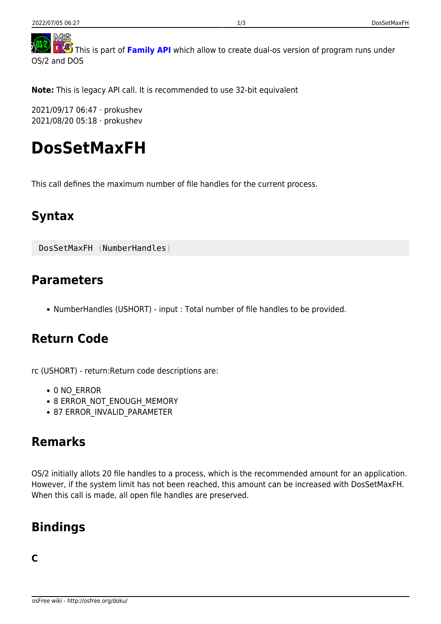**TAS** This is part of [Family API](http://osfree.org/doku/en:docs:fapi) which allow to create dual-os version of program runs under OS/2 and DOS

**Note:** This is legacy API call. It is recommended to use 32-bit equivalent

2021/09/17 06:47 · prokushev 2021/08/20 05:18 · prokushev

# **DosSetMaxFH**

This call defines the maximum number of file handles for the current process.

### **Syntax**

DosSetMaxFH (NumberHandles)

#### **Parameters**

NumberHandles (USHORT) - input : Total number of file handles to be provided.

### **Return Code**

rc (USHORT) - return:Return code descriptions are:

- 0 NO ERROR
- 8 ERROR\_NOT\_ENOUGH\_MEMORY
- 87 ERROR\_INVALID\_PARAMETER

#### **Remarks**

OS/2 initially allots 20 file handles to a process, which is the recommended amount for an application. However, if the system limit has not been reached, this amount can be increased with DosSetMaxFH. When this call is made, all open file handles are preserved.

## **Bindings**

#### **C**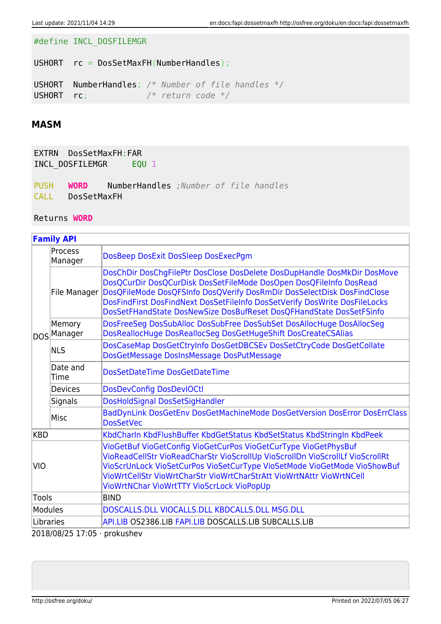#define INCL\_DOSFILEMGR

USHORT rc = DosSetMaxFH(NumberHandles);

USHORT NumberHandles; */\* Number of file handles \*/* USHORT rc; */\* return code \*/*

#### **MASM**

EXTRN DosSetMaxFH:FAR INCL\_DOSFILEMGR EQU 1

PUSH **WORD** NumberHandles *;Number of file handles* CALL DosSetMaxFH

Returns **WORD**

| <b>Family API</b>             |                       |                                                                                                                                                                                                                                                                                                                                                                              |
|-------------------------------|-----------------------|------------------------------------------------------------------------------------------------------------------------------------------------------------------------------------------------------------------------------------------------------------------------------------------------------------------------------------------------------------------------------|
|                               | Process<br>Manager    | DosBeep DosExit DosSleep DosExecPgm                                                                                                                                                                                                                                                                                                                                          |
|                               | File Manager          | DosChDir DosChgFilePtr DosClose DosDelete DosDupHandle DosMkDir DosMove<br>DosQCurDir DosQCurDisk DosSetFileMode DosOpen DosQFileInfo DosRead<br>DosQFileMode DosQFSInfo DosQVerify DosRmDir DosSelectDisk DosFindClose<br>DosFindFirst DosFindNext DosSetFileInfo DosSetVerify DosWrite DosFileLocks<br>DosSetFHandState DosNewSize DosBufReset DosQFHandState DosSetFSinfo |
|                               | Memory<br>DOS Manager | DosFreeSeg DosSubAlloc DosSubFree DosSubSet DosAllocHuge DosAllocSeg<br>DosReallocHuge DosReallocSeg DosGetHugeShift DosCreateCSAlias                                                                                                                                                                                                                                        |
|                               | <b>NLS</b>            | DosCaseMap DosGetCtryInfo DosGetDBCSEv DosSetCtryCode DosGetCollate<br>DosGetMessage DosInsMessage DosPutMessage                                                                                                                                                                                                                                                             |
|                               | Date and<br>Time      | DosSetDateTime DosGetDateTime                                                                                                                                                                                                                                                                                                                                                |
|                               | <b>Devices</b>        | <b>DosDevConfig DosDevIOCtl</b>                                                                                                                                                                                                                                                                                                                                              |
|                               | Signals               | DosHoldSignal DosSetSigHandler                                                                                                                                                                                                                                                                                                                                               |
|                               | Misc                  | BadDynLink DosGetEnv DosGetMachineMode DosGetVersion DosError DosErrClass<br><b>DosSetVec</b>                                                                                                                                                                                                                                                                                |
| <b>KBD</b>                    |                       | KbdCharln KbdFlushBuffer KbdGetStatus KbdSetStatus KbdStringIn KbdPeek                                                                                                                                                                                                                                                                                                       |
| VIO                           |                       | VioGetBuf VioGetConfig VioGetCurPos VioGetCurType VioGetPhysBuf<br>VioReadCellStr VioReadCharStr VioScrollUp VioScrollDn VioScrollLf VioScrollRt<br>VioScrUnLock VioSetCurPos VioSetCurType VioSetMode VioGetMode VioShowBuf<br>VioWrtCellStr VioWrtCharStr VioWrtCharStrAtt VioWrtNAttr VioWrtNCell<br>VioWrtNChar VioWrtTTY VioScrLock VioPopUp                            |
| <b>Tools</b>                  |                       | <b>BIND</b>                                                                                                                                                                                                                                                                                                                                                                  |
| <b>Modules</b>                |                       | DOSCALLS.DLL VIOCALLS.DLL KBDCALLS.DLL MSG.DLL                                                                                                                                                                                                                                                                                                                               |
| Libraries                     |                       | API.LIB OS2386.LIB FAPI.LIB DOSCALLS.LIB SUBCALLS.LIB                                                                                                                                                                                                                                                                                                                        |
| $2018/08/2517.05$ , prokuchev |                       |                                                                                                                                                                                                                                                                                                                                                                              |

2018/08/25 17:05 · prokushev